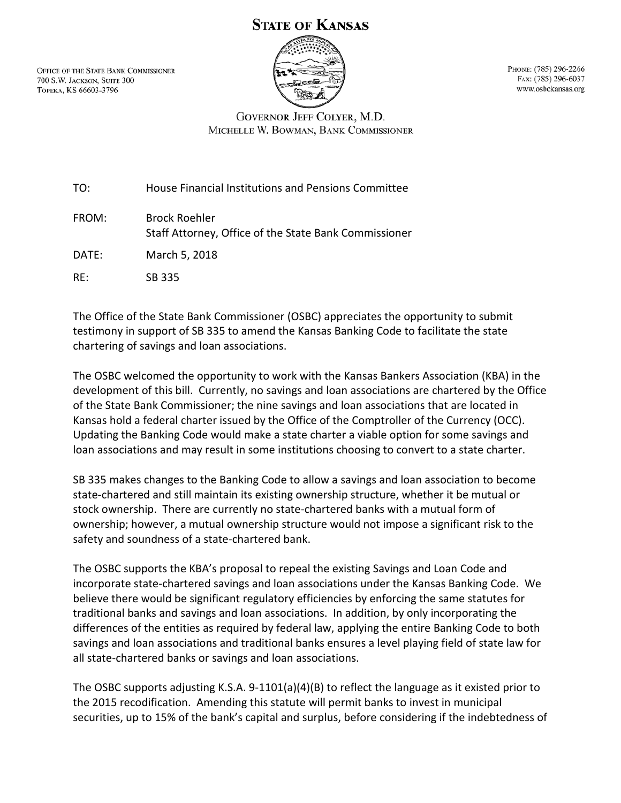## **STATE OF KANSAS**

OFFICE OF THE STATE BANK COMMISSIONER 700 S.W. JACKSON, SUITE 300 Торека, KS 66603-3796



PHONE: (785) 296-2266 FAX: (785) 296-6037 www.osbckansas.org

## **GOVERNOR JEFF COLYER, M.D.** MICHELLE W. BOWMAN, BANK COMMISSIONER

TO: House Financial Institutions and Pensions Committee

FROM: Brock Roehler Staff Attorney, Office of the State Bank Commissioner DATE: March 5, 2018

RE: SB 335

The Office of the State Bank Commissioner (OSBC) appreciates the opportunity to submit testimony in support of SB 335 to amend the Kansas Banking Code to facilitate the state chartering of savings and loan associations.

The OSBC welcomed the opportunity to work with the Kansas Bankers Association (KBA) in the development of this bill. Currently, no savings and loan associations are chartered by the Office of the State Bank Commissioner; the nine savings and loan associations that are located in Kansas hold a federal charter issued by the Office of the Comptroller of the Currency (OCC). Updating the Banking Code would make a state charter a viable option for some savings and loan associations and may result in some institutions choosing to convert to a state charter.

SB 335 makes changes to the Banking Code to allow a savings and loan association to become state-chartered and still maintain its existing ownership structure, whether it be mutual or stock ownership. There are currently no state-chartered banks with a mutual form of ownership; however, a mutual ownership structure would not impose a significant risk to the safety and soundness of a state-chartered bank.

The OSBC supports the KBA's proposal to repeal the existing Savings and Loan Code and incorporate state-chartered savings and loan associations under the Kansas Banking Code. We believe there would be significant regulatory efficiencies by enforcing the same statutes for traditional banks and savings and loan associations. In addition, by only incorporating the differences of the entities as required by federal law, applying the entire Banking Code to both savings and loan associations and traditional banks ensures a level playing field of state law for all state-chartered banks or savings and loan associations.

The OSBC supports adjusting K.S.A. 9-1101(a)(4)(B) to reflect the language as it existed prior to the 2015 recodification. Amending this statute will permit banks to invest in municipal securities, up to 15% of the bank's capital and surplus, before considering if the indebtedness of